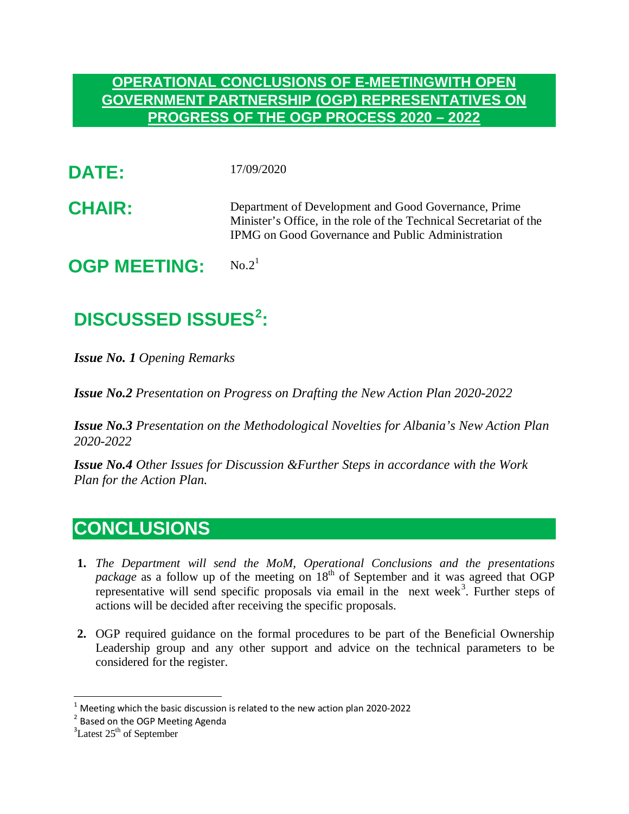## **OPERATIONAL CONCLUSIONS OF E-MEETINGWITH OPEN GOVERNMENT PARTNERSHIP (OGP) REPRESENTATIVES ON PROGRESS OF THE OGP PROCESS 2020 – 2022**

- **DATE:** 17/09/2020
- **CHAIR:** Department of Development and Good Governance, Prime Minister's Office, in the role of the Technical Secretariat of the IPMG on Good Governance and Public Administration

**OGP MEETING:** No.2[1](#page-0-0)

## **DISCUSSED ISSUES[2](#page-0-1) :**

*Issue No. 1 Opening Remarks* 

*Issue No.2 Presentation on Progress on Drafting the New Action Plan 2020-2022*

*Issue No.3 Presentation on the Methodological Novelties for Albania's New Action Plan 2020-2022*

*Issue No.4 Other Issues for Discussion &Further Steps in accordance with the Work Plan for the Action Plan.* 

## **CONCLUSIONS**

- **1.** *The Department will send the MoM, Operational Conclusions and the presentations package* as a follow up of the meeting on 18<sup>th</sup> of September and it was agreed that OGP representative will send specific proposals via email in the next week<sup>[3](#page-0-2)</sup>. Further steps of actions will be decided after receiving the specific proposals.
- **2.** OGP required guidance on the formal procedures to be part of the Beneficial Ownership Leadership group and any other support and advice on the technical parameters to be considered for the register.

<span id="page-0-0"></span><sup>&</sup>lt;sup>1</sup> Meeting which the basic discussion is related to the new action plan 2020-2022  $^2$  Based on the OGP Meeting Agenda

<span id="page-0-1"></span>

<span id="page-0-2"></span> ${}^{3}$ Latest 25<sup>th</sup> of September